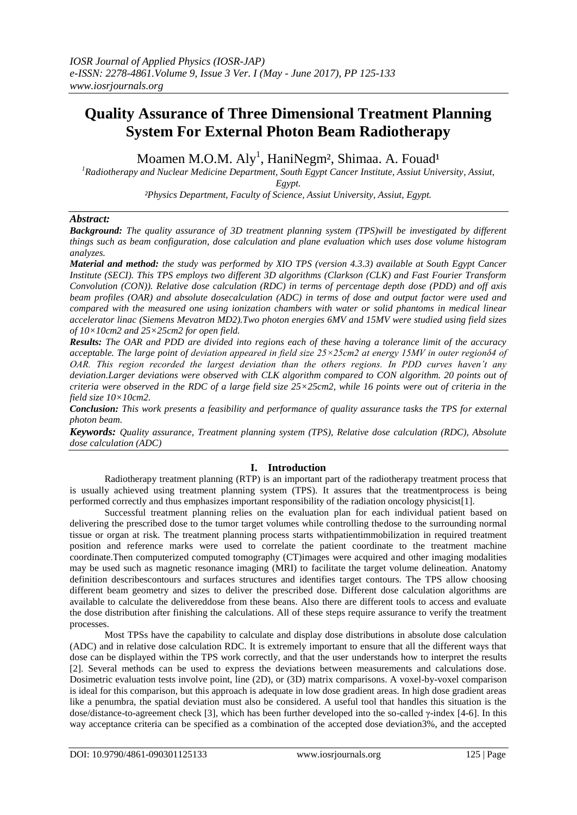# **Quality Assurance of Three Dimensional Treatment Planning System For External Photon Beam Radiotherapy**

Moamen M.O.M. Aly<sup>1</sup>, HaniNegm<sup>2</sup>, Shimaa. A. Fouad<sup>1</sup>

*<sup>1</sup>Radiotherapy and Nuclear Medicine Department, South Egypt Cancer Institute, Assiut University, Assiut,* 

*Egypt.*

*²Physics Department, Faculty of Science, Assiut University, Assiut, Egypt.*

## *Abstract:*

*Background: The quality assurance of 3D treatment planning system (TPS)will be investigated by different things such as beam configuration, dose calculation and plane evaluation which uses dose volume histogram analyzes.*

*Material and method: the study was performed by XIO TPS (version 4.3.3) available at South Egypt Cancer Institute (SECI). This TPS employs two different 3D algorithms (Clarkson (CLK) and Fast Fourier Transform Convolution (CON)). Relative dose calculation (RDC) in terms of percentage depth dose (PDD) and off axis beam profiles (OAR) and absolute dosecalculation (ADC) in terms of dose and output factor were used and compared with the measured one using ionization chambers with water or solid phantoms in medical linear accelerator linac (Siemens Mevatron MD2).Two photon energies 6MV and 15MV were studied using field sizes of 10×10cm2 and 25×25cm2 for open field.*

*Results: The OAR and PDD are divided into regions each of these having a tolerance limit of the accuracy acceptable. The large point of deviation appeared in field size 25×25cm2 at energy 15MV in outer regionδ4 of OAR. This region recorded the largest deviation than the others regions. In PDD curves haven't any deviation.Larger deviations were observed with CLK algorithm compared to CON algorithm. 20 points out of criteria were observed in the RDC of a large field size 25×25cm2, while 16 points were out of criteria in the field size 10×10cm2.*

*Conclusion: This work presents a feasibility and performance of quality assurance tasks the TPS for external photon beam.*

*Keywords: Quality assurance, Treatment planning system (TPS), Relative dose calculation (RDC), Absolute dose calculation (ADC)*

## **I. Introduction**

Radiotherapy treatment planning (RTP) is an important part of the radiotherapy treatment process that is usually achieved using treatment planning system (TPS). It assures that the treatmentprocess is being performed correctly and thus emphasizes important responsibility of the radiation oncology physicist[1].

Successful treatment planning relies on the evaluation plan for each individual patient based on delivering the prescribed dose to the tumor target volumes while controlling thedose to the surrounding normal tissue or organ at risk. The treatment planning process starts withpatientimmobilization in required treatment position and reference marks were used to correlate the patient coordinate to the treatment machine coordinate.Then computerized computed tomography (CT)images were acquired and other imaging modalities may be used such as magnetic resonance imaging (MRI) to facilitate the target volume delineation. Anatomy definition describescontours and surfaces structures and identifies target contours. The TPS allow choosing different beam geometry and sizes to deliver the prescribed dose. Different dose calculation algorithms are available to calculate the delivereddose from these beans. Also there are different tools to access and evaluate the dose distribution after finishing the calculations. All of these steps require assurance to verify the treatment processes.

Most TPSs have the capability to calculate and display dose distributions in absolute dose calculation (ADC) and in relative dose calculation RDC. It is extremely important to ensure that all the different ways that dose can be displayed within the TPS work correctly, and that the user understands how to interpret the results [2]. Several methods can be used to express the deviations between measurements and calculations dose. Dosimetric evaluation tests involve point, line (2D), or (3D) matrix comparisons. A voxel-by-voxel comparison is ideal for this comparison, but this approach is adequate in low dose gradient areas. In high dose gradient areas like a penumbra, the spatial deviation must also be considered. A useful tool that handles this situation is the dose/distance-to-agreement check [3], which has been further developed into the so-called γ-index [4-6]. In this way acceptance criteria can be specified as a combination of the accepted dose deviation3%, and the accepted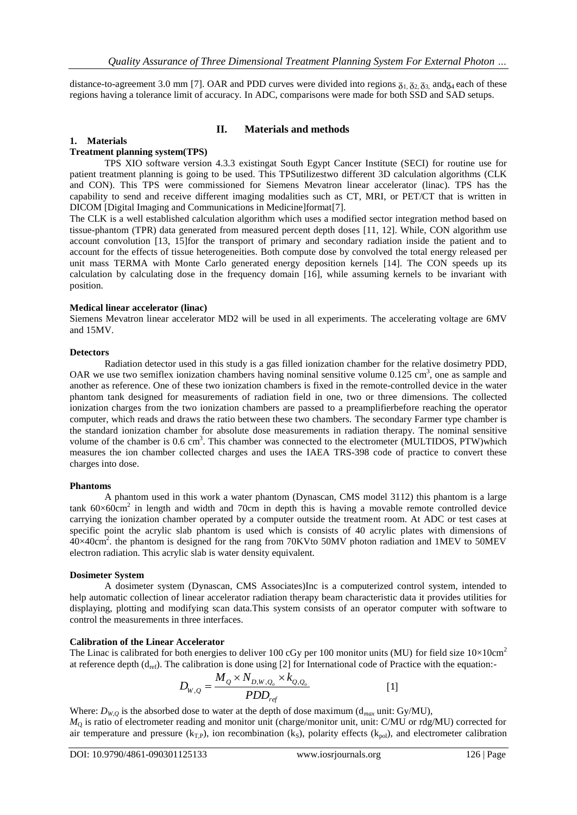distance-to-agreement 3.0 mm [7]. OAR and PDD curves were divided into regions  $\delta_1$ ,  $\delta_2$ ,  $\delta_3$ , and $\delta_4$  each of these regions having a tolerance limit of accuracy. In ADC, comparisons were made for both SSD and SAD setups.

## **II. Materials and methods**

## **1. Materials**

#### **Treatment planning system(TPS)**

TPS XIO software version 4.3.3 existingat South Egypt Cancer Institute (SECI) for routine use for patient treatment planning is going to be used. This TPSutilizestwo different 3D calculation algorithms (CLK and CON). This TPS were commissioned for Siemens Mevatron linear accelerator (linac). TPS has the capability to send and receive different imaging modalities such as CT, MRI, or PET/CT that is written in DICOM [Digital Imaging and Communications in Medicine]format[7].

The CLK is a well established calculation algorithm which uses a modified sector integration method based on tissue-phantom (TPR) data generated from measured percent depth doses [11, 12]. While, CON algorithm use account convolution [13, 15]for the transport of primary and secondary radiation inside the patient and to account for the effects of tissue heterogeneities. Both compute dose by convolved the total energy released per unit mass TERMA with Monte Carlo generated energy deposition kernels [14]. The CON speeds up its calculation by calculating dose in the frequency domain [16], while assuming kernels to be invariant with position.

#### **Medical linear accelerator (linac)**

Siemens Mevatron linear accelerator MD2 will be used in all experiments. The accelerating voltage are 6MV and 15MV.

#### **Detectors**

Radiation detector used in this study is a gas filled ionization chamber for the relative dosimetry PDD, OAR we use two semiflex ionization chambers having nominal sensitive volume  $0.125 \text{ cm}^3$ , one as sample and another as reference. One of these two ionization chambers is fixed in the remote-controlled device in the water phantom tank designed for measurements of radiation field in one, two or three dimensions. The collected ionization charges from the two ionization chambers are passed to a preamplifierbefore reaching the operator computer, which reads and draws the ratio between these two chambers. The secondary Farmer type chamber is the standard ionization chamber for absolute dose measurements in radiation therapy. The nominal sensitive volume of the chamber is 0.6 cm<sup>3</sup>. This chamber was connected to the electrometer (MULTIDOS, PTW)which measures the ion chamber collected charges and uses the IAEA TRS-398 code of practice to convert these charges into dose.

#### **Phantoms**

A phantom used in this work a water phantom (Dynascan, CMS model 3112) this phantom is a large tank  $60\times60$ cm<sup>2</sup> in length and width and 70cm in depth this is having a movable remote controlled device carrying the ionization chamber operated by a computer outside the treatment room. At ADC or test cases at specific point the acrylic slab phantom is used which is consists of 40 acrylic plates with dimensions of  $40\times40$ cm<sup>2</sup>. the phantom is designed for the rang from 70KVto 50MV photon radiation and 1MEV to 50MEV electron radiation. This acrylic slab is water density equivalent.

#### **Dosimeter System**

A dosimeter system (Dynascan, CMS Associates)Inc is a computerized control system, intended to help automatic collection of linear accelerator radiation therapy beam characteristic data it provides utilities for displaying, plotting and modifying scan data.This system consists of an operator computer with software to control the measurements in three interfaces.

#### **Calibration of the Linear Accelerator**

The Linac is calibrated for both energies to deliver 100 cGy per 100 monitor units (MU) for field size  $10\times10$ cm<sup>2</sup> at reference depth  $(d_{ref})$ . The calibration is done using [2] for International code of Practice with the equation:-

$$
D_{W,Q} = \frac{M_Q \times N_{D,W,Q_o} \times k_{Q,Q_o}}{PDD_{ref}}
$$
 [1]

Where:  $D_{W,Q}$  is the absorbed dose to water at the depth of dose maximum ( $d_{max}$  unit: Gy/MU), *M*<sup>Q</sup> is ratio of electrometer reading and monitor unit (charge/monitor unit, unit: C/MU or rdg/MU) corrected for air temperature and pressure ( $k_{T,P}$ ), ion recombination ( $k_S$ ), polarity effects ( $k_{pol}$ ), and electrometer calibration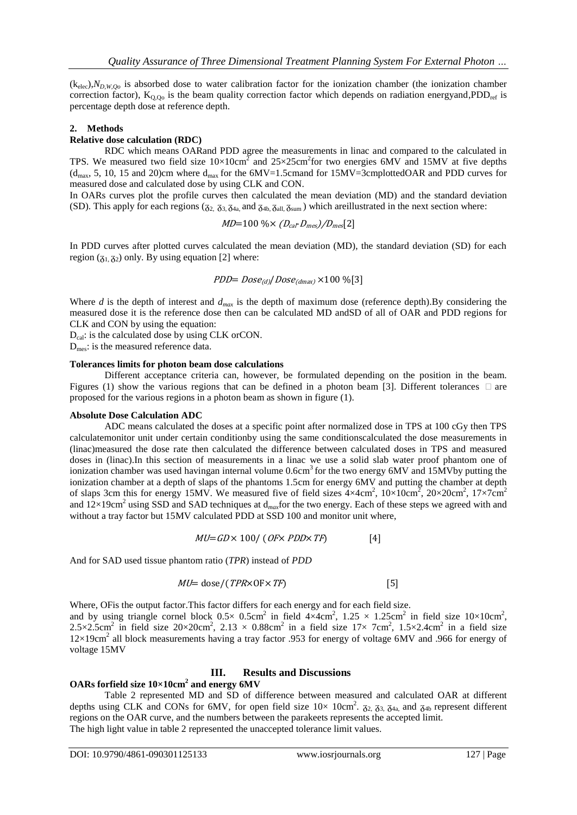$(k<sub>elec</sub>),N<sub>D,W,Oo</sub>$  is absorbed dose to water calibration factor for the ionization chamber (the ionization chamber correction factor),  $K_{Q,Qo}$  is the beam quality correction factor which depends on radiation energyand, PDD<sub>ref</sub> is percentage depth dose at reference depth.

## **2. Methods**

#### **Relative dose calculation (RDC)**

RDC which means OARand PDD agree the measurements in linac and compared to the calculated in TPS. We measured two field size  $10\times10$ cm<sup>2</sup> and  $25\times25$ cm<sup>2</sup>for two energies 6MV and 15MV at five depths  $(d_{max}, 5, 10, 15$  and 20)cm where  $d_{max}$  for the  $6MV=1.5cm$  and  $6MV=3cm$  plottedOAR and PDD curves for measured dose and calculated dose by using CLK and CON.

In OARs curves plot the profile curves then calculated the mean deviation (MD) and the standard deviation (SD). This apply for each regions ( $\delta_{2, 0.73, \delta_{4a}}$  and  $\delta_{4b, \delta_{a}l}$ ,  $\delta_{s}$ <sub>sum</sub>) which areillustrated in the next section where:

$$
MD=100\% \times (D_{cal} \cdot D_{mes})/D_{mes}[2]
$$

In PDD curves after plotted curves calculated the mean deviation (MD), the standard deviation (SD) for each region  $(7<sub>1</sub>, 7<sub>2</sub>)$  only. By using equation [2] where:

$$
PDD = Dose_{(d)}/Dose_{(dmax)} \times 100\%[3]
$$

Where *d* is the depth of interest and  $d_{max}$  is the depth of maximum dose (reference depth).By considering the measured dose it is the reference dose then can be calculated MD andSD of all of OAR and PDD regions for CLK and CON by using the equation:

 $D_{cal}$ : is the calculated dose by using CLK orCON.

Dmes: is the measured reference data.

#### **Tolerances limits for photon beam dose calculations**

Different acceptance criteria can, however, be formulated depending on the position in the beam. Figures (1) show the various regions that can be defined in a photon beam [3]. Different tolerances  $\Box$  are proposed for the various regions in a photon beam as shown in figure (1).

#### **Absolute Dose Calculation ADC**

ADC means calculated the doses at a specific point after normalized dose in TPS at 100 cGy then TPS calculatemonitor unit under certain conditionby using the same conditionscalculated the dose measurements in (linac)measured the dose rate then calculated the difference between calculated doses in TPS and measured doses in (linac).In this section of measurements in a linac we use a solid slab water proof phantom one of ionization chamber was used havingan internal volume 0.6cm<sup>3</sup> for the two energy 6MV and 15MVby putting the ionization chamber at a depth of slaps of the phantoms 1.5cm for energy 6MV and putting the chamber at depth of slaps 3cm this for energy 15MV. We measured five of field sizes  $4 \times 4$ cm<sup>2</sup>,  $10 \times 10$ cm<sup>2</sup>,  $20 \times 20$ cm<sup>2</sup>,  $17 \times 7$ cm<sup>2</sup> and  $12\times19$ cm<sup>2</sup> using SSD and SAD techniques at d<sub>max</sub>for the two energy. Each of these steps we agreed with and without a tray factor but 15MV calculated PDD at SSD 100 and monitor unit where,

$$
MU=GD \times 100 / (OF \times PDD \times TF)
$$
 [4]

And for SAD used tissue phantom ratio (*TPR*) instead of *PDD*

$$
MU = \text{dose} / (\text{TPR} \times \text{OF} \times \text{TF}) \tag{5}
$$

Where, OFis the output factor.This factor differs for each energy and for each field size. and by using triangle cornel block  $0.5 \times 0.5$ cm<sup>2</sup> in field  $4 \times 4$ cm<sup>2</sup>,  $1.25 \times 1.25$ cm<sup>2</sup> in field size  $10 \times 10$ cm<sup>2</sup>, 2.5×2.5cm<sup>2</sup> in field size  $20 \times 20$ cm<sup>2</sup>, 2.13 × 0.88cm<sup>2</sup> in a field size  $17 \times 7$ cm<sup>2</sup>, 1.5×2.4cm<sup>2</sup> in a field size 12×19cm<sup>2</sup> all block measurements having a tray factor .953 for energy of voltage 6MV and .966 for energy of voltage 15MV

#### **III. Results and Discussions**

## **OARs forfield size 10×10cm<sup>2</sup> and energy 6MV**

Table 2 represented MD and SD of difference between measured and calculated OAR at different depths using CLK and CONs for 6MV, for open field size  $10\times 10 \text{cm}^2$ .  $\zeta_{2, 0.7}$ ,  $\zeta_{3, 0.7}$  and  $\zeta_{4b}$  represent different regions on the OAR curve, and the numbers between the parakeets represents the accepted limit. The high light value in table 2 represented the unaccepted tolerance limit values.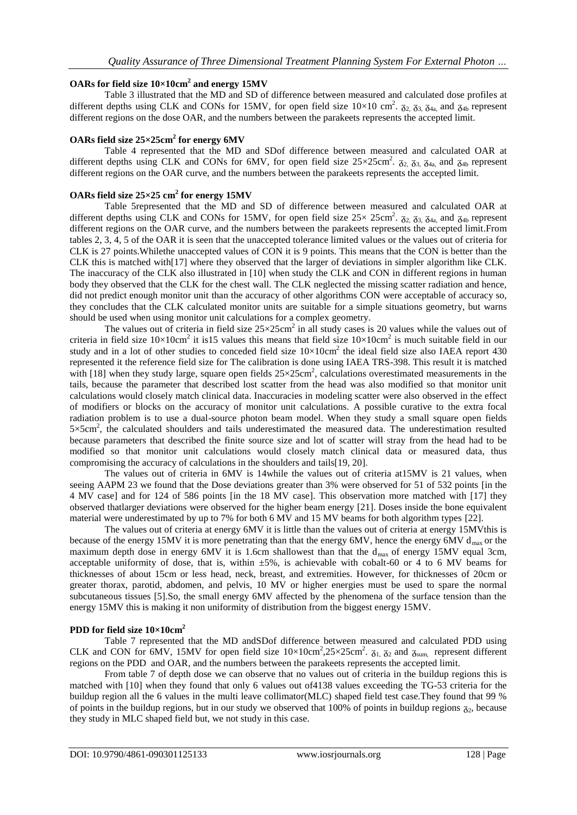## **OARs for field size 10×10cm<sup>2</sup> and energy 15MV**

Table 3 illustrated that the MD and SD of difference between measured and calculated dose profiles at different depths using CLK and CONs for 15MV, for open field size  $10\times10$  cm<sup>2</sup>.  $\delta_{2}$ ,  $\delta_{3}$ ,  $\delta_{4}$ , and  $\delta_{4}$  represent different regions on the dose OAR, and the numbers between the parakeets represents the accepted limit.

## **OARs field size 25×25cm<sup>2</sup> for energy 6MV**

Table 4 represented that the MD and SDof difference between measured and calculated OAR at different depths using CLK and CONs for 6MV, for open field size  $25 \times 25 \text{ cm}^2$ .  $\delta_{2}$ ,  $\delta_{3}$ ,  $\delta_{4}$ , and  $\delta_{4}$  represent different regions on the OAR curve, and the numbers between the parakeets represents the accepted limit.

## **OARs field size 25×25 cm<sup>2</sup> for energy 15MV**

Table 5represented that the MD and SD of difference between measured and calculated OAR at different depths using CLK and CONs for 15MV, for open field size  $25 \times 25 \text{ cm}^2$ .  $\delta_{2, 0}$ ,  $\delta_{3, 0}$ ,  $\delta_{4a}$ , and  $\delta_{4b}$  represent different regions on the OAR curve, and the numbers between the parakeets represents the accepted limit.From tables 2, 3, 4, 5 of the OAR it is seen that the unaccepted tolerance limited values or the values out of criteria for CLK is 27 points.Whilethe unaccepted values of CON it is 9 points. This means that the CON is better than the CLK this is matched with[17] where they observed that the larger of deviations in simpler algorithm like CLK. The inaccuracy of the CLK also illustrated in [10] when study the CLK and CON in different regions in human body they observed that the CLK for the chest wall. The CLK neglected the missing scatter radiation and hence, did not predict enough monitor unit than the accuracy of other algorithms CON were acceptable of accuracy so, they concludes that the CLK calculated monitor units are suitable for a simple situations geometry, but warns should be used when using monitor unit calculations for a complex geometry.

The values out of criteria in field size  $25 \times 25 \text{ cm}^2$  in all study cases is 20 values while the values out of criteria in field size  $10\times10$ cm<sup>2</sup> it is15 values this means that field size  $10\times10$ cm<sup>2</sup> is much suitable field in our study and in a lot of other studies to conceded field size  $10\times10$ cm<sup>2</sup> the ideal field size also IAEA report 430 represented it the reference field size for The calibration is done using IAEA TRS-398. This result it is matched with [18] when they study large, square open fields  $25 \times 25$  cm<sup>2</sup>, calculations overestimated measurements in the tails, because the parameter that described lost scatter from the head was also modified so that monitor unit calculations would closely match clinical data. Inaccuracies in modeling scatter were also observed in the effect of modifiers or blocks on the accuracy of monitor unit calculations. A possible curative to the extra focal radiation problem is to use a dual-source photon beam model. When they study a small square open fields 5×5cm<sup>2</sup>, the calculated shoulders and tails underestimated the measured data. The underestimation resulted because parameters that described the finite source size and lot of scatter will stray from the head had to be modified so that monitor unit calculations would closely match clinical data or measured data, thus compromising the accuracy of calculations in the shoulders and tails[19, 20].

The values out of criteria in 6MV is 14while the values out of criteria at15MV is 21 values, when seeing AAPM 23 we found that the Dose deviations greater than 3% were observed for 51 of 532 points [in the 4 MV case] and for 124 of 586 points [in the 18 MV case]. This observation more matched with [17] they observed thatlarger deviations were observed for the higher beam energy [21]. Doses inside the bone equivalent material were underestimated by up to 7% for both 6 MV and 15 MV beams for both algorithm types [22].

The values out of criteria at energy 6MV it is little than the values out of criteria at energy 15MVthis is because of the energy 15MV it is more penetrating than that the energy 6MV, hence the energy 6MV  $d_{\text{max}}$  or the maximum depth dose in energy 6MV it is 1.6cm shallowest than that the d<sub>max</sub> of energy 15MV equal 3cm, acceptable uniformity of dose, that is, within *±*5%, is achievable with cobalt-60 or 4 to 6 MV beams for thicknesses of about 15cm or less head, neck, breast, and extremities. However, for thicknesses of 20cm or greater thorax, parotid, abdomen, and pelvis, 10 MV or higher energies must be used to spare the normal subcutaneous tissues [5].So, the small energy 6MV affected by the phenomena of the surface tension than the energy 15MV this is making it non uniformity of distribution from the biggest energy 15MV.

#### **PDD for field size 10×10cm<sup>2</sup>**

Table 7 represented that the MD andSDof difference between measured and calculated PDD using CLK and CON for 6MV, 15MV for open field size  $10\times10$ cm<sup>2</sup>,25×25cm<sup>2</sup>.  $\delta_1$ ,  $\delta_2$  and  $\delta_{\text{sum}}$ , represent different regions on the PDD and OAR, and the numbers between the parakeets represents the accepted limit.

From table 7 of depth dose we can observe that no values out of criteria in the buildup regions this is matched with [10] when they found that only 6 values out of 4138 values exceeding the TG-53 criteria for the buildup region all the 6 values in the multi leave collimator(MLC) shaped field test case.They found that 99 % of points in the buildup regions, but in our study we observed that 100% of points in buildup regions  $\bar{\alpha}_2$ , because they study in MLC shaped field but, we not study in this case.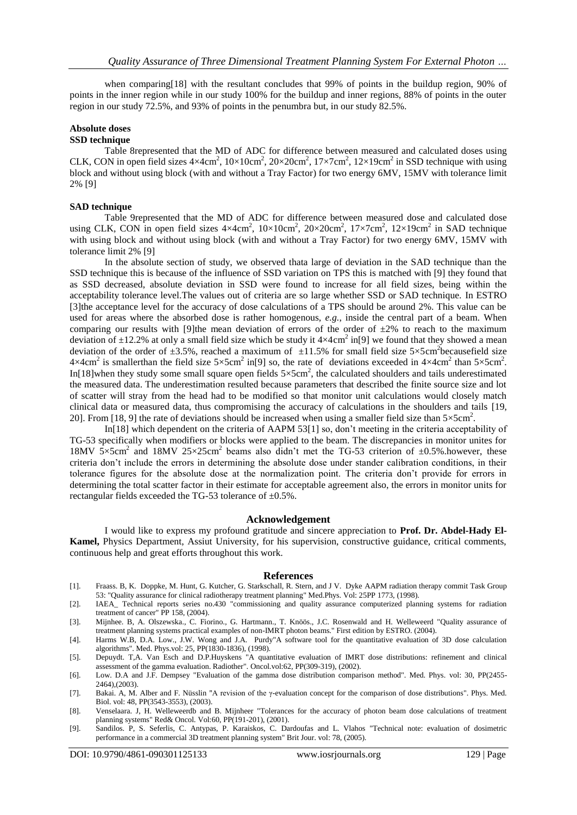when comparing[18] with the resultant concludes that 99% of points in the buildup region, 90% of points in the inner region while in our study 100% for the buildup and inner regions, 88% of points in the outer region in our study 72.5%, and 93% of points in the penumbra but, in our study 82.5%.

## **Absolute doses**

#### **SSD technique**

Table 8represented that the MD of ADC for difference between measured and calculated doses using CLK, CON in open field sizes  $4\times4\text{cm}^2$ ,  $10\times10\text{cm}^2$ ,  $20\times20\text{cm}^2$ ,  $17\times7\text{cm}^2$ ,  $12\times19\text{cm}^2$  in SSD technique with using block and without using block (with and without a Tray Factor) for two energy 6MV, 15MV with tolerance limit 2% [9]

#### **SAD technique**

Table 9represented that the MD of ADC for difference between measured dose and calculated dose using CLK, CON in open field sizes  $4 \times 4 \text{cm}^2$ ,  $10 \times 10 \text{cm}^2$ ,  $20 \times 20 \text{cm}^2$ ,  $17 \times 7 \text{cm}^2$ ,  $12 \times 19 \text{cm}^2$  in SAD technique with using block and without using block (with and without a Tray Factor) for two energy 6MV, 15MV with tolerance limit 2% [9]

In the absolute section of study, we observed thata large of deviation in the SAD technique than the SSD technique this is because of the influence of SSD variation on TPS this is matched with [9] they found that as SSD decreased, absolute deviation in SSD were found to increase for all field sizes, being within the acceptability tolerance level.The values out of criteria are so large whether SSD or SAD technique. In ESTRO [3] the acceptance level for the accuracy of dose calculations of a TPS should be around 2%. This value can be used for areas where the absorbed dose is rather homogenous, *e.g.*, inside the central part of a beam. When comparing our results with [9]the mean deviation of errors of the order of  $\pm 2\%$  to reach to the maximum deviation of  $\pm 12.2$ % at only a small field size which be study it  $4 \times 4 \text{ cm}^2$  in[9] we found that they showed a mean deviation of the order of  $\pm 3.5$ %, reached a maximum of  $\pm 11.5$ % for small field size  $5 \times 5$ cm<sup>2</sup>becausefield size  $4 \times 4 \text{cm}^2$  is smallerthan the field size  $5 \times 5 \text{cm}^2$  in[9] so, the rate of deviations exceeded in  $4 \times 4 \text{cm}^2$  than  $5 \times 5 \text{cm}^2$ . In[18]when they study some small square open fields  $5 \times 5 \text{cm}^2$ , the calculated shoulders and tails underestimated the measured data. The underestimation resulted because parameters that described the finite source size and lot of scatter will stray from the head had to be modified so that monitor unit calculations would closely match clinical data or measured data, thus compromising the accuracy of calculations in the shoulders and tails [19, 20]. From [18, 9] the rate of deviations should be increased when using a smaller field size than  $5 \times 5 \text{ cm}^2$ .

In[18] which dependent on the criteria of AAPM 53[1] so, don't meeting in the criteria acceptability of TG-53 specifically when modifiers or blocks were applied to the beam. The discrepancies in monitor unites for 18MV  $5 \times 5$ cm<sup>2</sup> and 18MV 25×25cm<sup>2</sup> beams also didn't met the TG-53 criterion of  $\pm 0.5$ % however, these criteria don't include the errors in determining the absolute dose under stander calibration conditions, in their tolerance figures for the absolute dose at the normalization point. The criteria don't provide for errors in determining the total scatter factor in their estimate for acceptable agreement also, the errors in monitor units for rectangular fields exceeded the TG-53 tolerance of ±0.5%.

## **Acknowledgement**

I would like to express my profound gratitude and sincere appreciation to **Prof. Dr. Abdel-Hady El-Kamel,** Physics Department, Assiut University, for his supervision, constructive guidance, critical comments, continuous help and great efforts throughout this work.

#### **References**

- [1]. Fraass. B, K. Doppke, M. Hunt, G. Kutcher, G. Starkschall, R. Stern, and J V. Dyke AAPM radiation therapy commit Task Group 53: "Quality assurance for clinical radiotherapy treatment planning" Med.Phys. Vol: 25PP 1773, (1998).
- [2]. IAEA\_ Technical reports series no.430 "commissioning and quality assurance computerized planning systems for radiation treatment of cancer" PP 158, (2004).
- [3]. Mijnhee. B, A. Olszewska., C. Fiorino., G. Hartmann., T. Knöös., J.C. Rosenwald and H. Welleweerd "Quality assurance of treatment planning systems practical examples of non-IMRT photon beams." First edition by ESTRO. (2004).
- [4]. Harms W.B, D.A. Low., J.W. Wong and J.A. Purdy"A software tool for the quantitative evaluation of 3D dose calculation algorithms". Med. Phys.vol: 25, PP(1830-1836), (1998).
- [5]. Depuydt. T,A. Van Esch and D.P.Huyskens "A quantitative evaluation of IMRT dose distributions: refinement and clinical assessment of the gamma evaluation. Radiother". Oncol.vol:62, PP(309-319), (2002).
- [6]. Low. D.A and J.F. Dempsey "Evaluation of the gamma dose distribution comparison method". Med. Phys. vol: 30, PP(2455- 2464),(2003).
- [7]. Bakai. A, M. Alber and F. Nüsslin "A revision of the γ-evaluation concept for the comparison of dose distributions". Phys. Med. Biol. vol: 48, PP(3543-3553), (2003).
- [8]. Venselaara. J, H. Welleweerdb and B. Mijnheer "Tolerances for the accuracy of photon beam dose calculations of treatment planning systems" Red& Oncol. Vol:60, PP(191-201), (2001).
- [9]. Sandilos. P, S. Seferlis, C. Antypas, P. Karaiskos, C. Dardoufas and L. Vlahos "Technical note: evaluation of dosimetric performance in a commercial 3D treatment planning system" Brit Jour. vol: 78, (2005).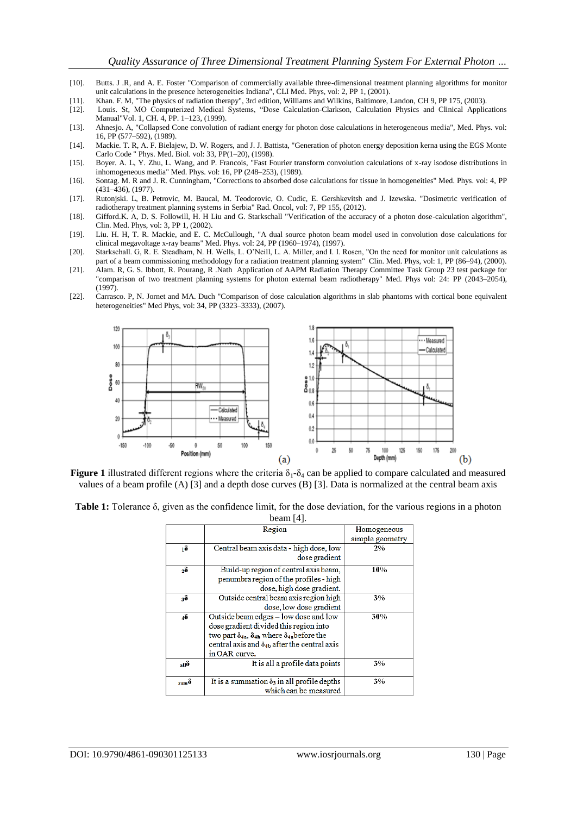- [10]. Butts. J .R, and A. E. Foster "Comparison of commercially available three-dimensional treatment planning algorithms for monitor unit calculations in the presence heterogeneities Indiana", CLI Med. Phys, vol: 2, PP 1, (2001).
- [11]. Khan. F. M, "The physics of radiation therapy", 3rd edition, Williams and Wilkins, Baltimore, Landon, CH 9, PP 175, (2003).
- [12]. Louis. St, MO Computerized Medical Systems, "Dose Calculation-Clarkson, Calculation Physics and Clinical Applications Manual"Vol. 1, CH. 4, PP. 1–123, (1999).
- [13]. Ahnesjo. A, "Collapsed Cone convolution of radiant energy for photon dose calculations in heterogeneous media", Med. Phys. vol: 16, PP (577–592), (1989).
- [14]. Mackie. T. R, A. F. Bielajew, D. W. Rogers, and J. J. Battista, "Generation of photon energy deposition kerna using the EGS Monte Carlo Code " Phys. Med. Biol. vol: 33, PP(1–20), (1998).
- [15]. Boyer. A. L, Y. Zhu, L. Wang, and P. Francois, "Fast Fourier transform convolution calculations of x-ray isodose distributions in inhomogeneous media" Med. Phys. vol: 16, PP (248–253), (1989).
- [16]. Sontag. M. R and J. R. Cunningham, "Corrections to absorbed dose calculations for tissue in homogeneities" Med. Phys. vol: 4, PP (431–436), (1977).
- [17]. Rutonjski. L, B. Petrovic, M. Baucal, M. Teodorovic, O. Cudic, E. Gershkevitsh and J. Izewska. "Dosimetric verification of radiotherapy treatment planning systems in Serbia" Rad. Oncol, vol: 7, PP 155, (2012).
- [18]. Gifford.K. A, D. S. Followill, H. H Liu and G. Starkschall "Verification of the accuracy of a photon dose-calculation algorithm", Clin. Med. Phys, vol: 3, PP 1, (2002).
- [19]. Liu. H. H, T. R. Mackie, and E. C. McCullough, "A dual source photon beam model used in convolution dose calculations for clinical megavoltage x-ray beams" Med. Phys. vol: 24, PP (1960–1974), (1997).
- [20]. Starkschall. G, R. E. Steadham, N. H. Wells, L. O'Neill, L. A. Miller, and I. I. Rosen, "On the need for monitor unit calculations as part of a beam commissioning methodology for a radiation treatment planning system" Clin. Med. Phys, vol: 1, PP (86–94), (2000).
- [21]. Alam. R, G. S. Ibbott, R. Pourang, R .Nath Application of AAPM Radiation Therapy Committee Task Group 23 test package for "comparison of two treatment planning systems for photon external beam radiotherapy" Med. Phys vol: 24: PP (2043–2054), (1997).
- [22]. Carrasco. P, N. Jornet and MA. Duch "Comparison of dose calculation algorithms in slab phantoms with cortical bone equivalent heterogeneities" Med Phys, vol: 34, PP (3323–3333), (2007).



**Figure 1** illustrated different regions where the criteria  $\delta_1$ - $\delta_4$  can be applied to compare calculated and measured values of a beam profile (A) [3] and a depth dose curves (B) [3]. Data is normalized at the central beam axis

|  |  | <b>Table 1:</b> Tolerance $\delta$ , given as the confidence limit, for the dose deviation, for the various regions in a photon |              |  |  |  |  |
|--|--|---------------------------------------------------------------------------------------------------------------------------------|--------------|--|--|--|--|
|  |  |                                                                                                                                 | beam $[4]$ . |  |  |  |  |

| Region<br>Homogeneous                                                          |
|--------------------------------------------------------------------------------|
|                                                                                |
| simple geometry                                                                |
| Central beam axis data - high dose, low<br>ıδ<br>2%                            |
| dose gradient                                                                  |
| Build-up region of central axis beam,<br>10%<br>2 <sup>8</sup>                 |
| penumbra region of the profiles - high                                         |
| dose, high dose gradient.                                                      |
| Outside central beam axis region high<br>38<br>3%                              |
| dose, low dose gradient                                                        |
| Outside beam edges - low dose and low<br>48<br>30%                             |
| dose gradient divided this region into                                         |
| two part $\delta_{4a}$ , $\delta_{4b}$ where $\delta_{4a}$ before the          |
| central axis and $\delta_{4h}$ after the central axis                          |
| in OAR curve.                                                                  |
| It is all a profile data points<br>3%<br>anô                                   |
|                                                                                |
| It is a summation $\delta_3$ in all profile depths<br>3%<br>$_{\rm sum}\delta$ |
| which can be measured                                                          |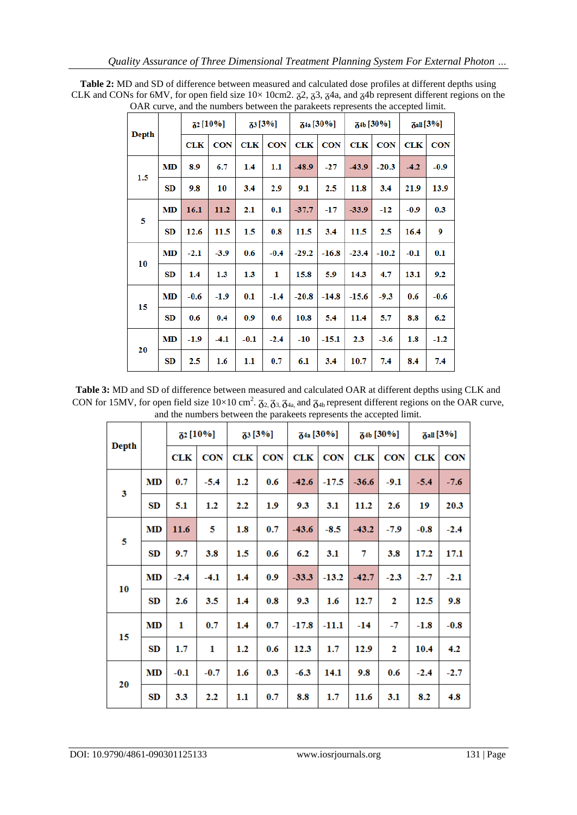|       |           |            | <b>72</b> [10%] | 33 [3%]    |            | $74a$ [30%] |            | 74b [30%]  |            | $7a  [3\%]$ |            |
|-------|-----------|------------|-----------------|------------|------------|-------------|------------|------------|------------|-------------|------------|
| Depth |           | <b>CLK</b> | <b>CON</b>      | <b>CLK</b> | <b>CON</b> | <b>CLK</b>  | <b>CON</b> | <b>CLK</b> | <b>CON</b> | <b>CLK</b>  | <b>CON</b> |
|       | MD        | 8.9        | 6.7             | 1.4        | 1.1        | $-48.9$     | $-27$      | $-43.9$    | $-20.3$    | $-4.2$      | $-0.9$     |
| 1.5   | SD        | 9.8        | 10              | 3.4        | 2.9        | 9.1         | 2.5        | 11.8       | 3.4        | 21.9        | 13.9       |
|       | MD        | 16.1       | 11.2            | 2.1        | 0.1        | $-37.7$     | $-17$      | $-33.9$    | -12        | $-0.9$      | 0.3        |
| 5     | SD        | 12.6       | 11.5            | 1.5        | 0.8        | 11.5        | 3.4        | 11.5       | 2.5        | 16.4        | 9          |
|       | MD        | $-2.1$     | $-3.9$          | 0.6        | $-0.4$     | $-29.2$     | $-16.8$    | $-23.4$    | $-10.2$    | $-0.1$      | 0.1        |
| 10    | <b>SD</b> | 1.4        | 1.3             | 1.3        | 1          | 15.8        | 5.9        | 14.3       | 4.7        | 13.1        | 9.2        |
|       | <b>MD</b> | $-0.6$     | $-1.9$          | 0.1        | $-1.4$     | $-20.8$     | $-14.8$    | $-15.6$    | $-9.3$     | 0.6         | $-0.6$     |
| 15    | SD        | 0.6        | 0.4             | 0.9        | 0.6        | 10.8        | 5.4        | 11.4       | 5.7        | 8.8         | 6.2        |
| 20    | MD        | $-1.9$     | $-4.1$          | $-0.1$     | $-2.4$     | $-10$       | $-15.1$    | 2.3        | $-3.6$     | 1.8         | $-1.2$     |
|       | SD        | 2.5        | 1.6             | 1.1        | 0.7        | 6.1         | 3.4        | 10.7       | 7.4        | 8.4         | 7.4        |

**Table 2:** MD and SD of difference between measured and calculated dose profiles at different depths using CLK and CONs for 6MV, for open field size  $10\times 10$ cm2.  $\overline{\alpha}$ 2,  $\overline{\alpha}$ 3,  $\overline{\alpha}$ 4a, and  $\overline{\alpha}$ 4b represent different regions on the OAR curve, and the numbers between the parakeets represents the accepted limit.

**Table 3:** MD and SD of difference between measured and calculated OAR at different depths using CLK and CON for 15MV, for open field size  $10\times10$  cm<sup>2</sup>.  $\zeta_{2}$ ,  $\zeta_{3}$ ,  $\zeta_{4a}$ , and  $\zeta_{4b}$  represent different regions on the OAR curve, and the numbers between the parakeets represents the accepted limit.

| <b>Depth</b>            |           |        | $\delta^2$ [10%] | $\frac{1}{6}$ [3%] |            |            | $\delta$ <sup>4a</sup> [30%] |         | $\delta^{4b}$ [30%] |            | $\delta$ all [3%] |
|-------------------------|-----------|--------|------------------|--------------------|------------|------------|------------------------------|---------|---------------------|------------|-------------------|
|                         |           | CLK    | <b>CON</b>       | <b>CLK</b>         | <b>CON</b> | <b>CLK</b> | <b>CON</b>                   | CLK     | <b>CON</b>          | <b>CLK</b> | <b>CON</b>        |
| $\overline{\mathbf{3}}$ | <b>MD</b> | 0.7    | $-5.4$           | 1.2                | 0.6        | $-42.6$    | $-17.5$                      | $-36.6$ | $-9.1$              | $-5.4$     | $-7.6$            |
|                         | SD        | 5.1    | 1.2              | 2.2                | 1.9        | 9.3        | 3.1                          | 11.2    | 2.6                 | 19         | 20.3              |
| 5                       | MD        | 11.6   | 5                | 1.8                | 0.7        | $-43.6$    | $-8.5$                       | $-43.2$ | $-7.9$              | $-0.8$     | $-2.4$            |
|                         | <b>SD</b> | 9.7    | 3.8              | 1.5                | 0.6        | 6.2        | 3.1                          | 7       | 3.8                 | 17.2       | 17.1              |
| 10                      | MD        | $-2.4$ | $-4.1$           | 1.4                | 0.9        | $-33.3$    | $-13.2$                      | $-42.7$ | $-2.3$              | $-2.7$     | $-2.1$            |
|                         | SD        | 2.6    | 3.5              | 1.4                | 0.8        | 9.3        | 1.6                          | 12.7    | $\mathbf{2}$        | 12.5       | 9.8               |
| 15                      | MD        | 1      | 0.7              | 1.4                | 0.7        | $-17.8$    | $-11.1$                      | $-14$   | -7                  | $-1.8$     | $-0.8$            |
|                         | SD        | 1.7    | 1                | 1.2                | 0.6        | 12.3       | 1.7                          | 12.9    | 2                   | 10.4       | 4.2               |
| 20                      | MD        | $-0.1$ | $-0.7$           | $1.6\phantom{0}$   | 0.3        | $-6.3$     | 14.1                         | 9.8     | 0.6                 | $-2.4$     | $-2.7$            |
|                         | SD        | 3.3    | 2.2              | $1.1\,$            | 0.7        | 8.8        | 1.7                          | 11.6    | 3.1                 | 8.2        | 4.8               |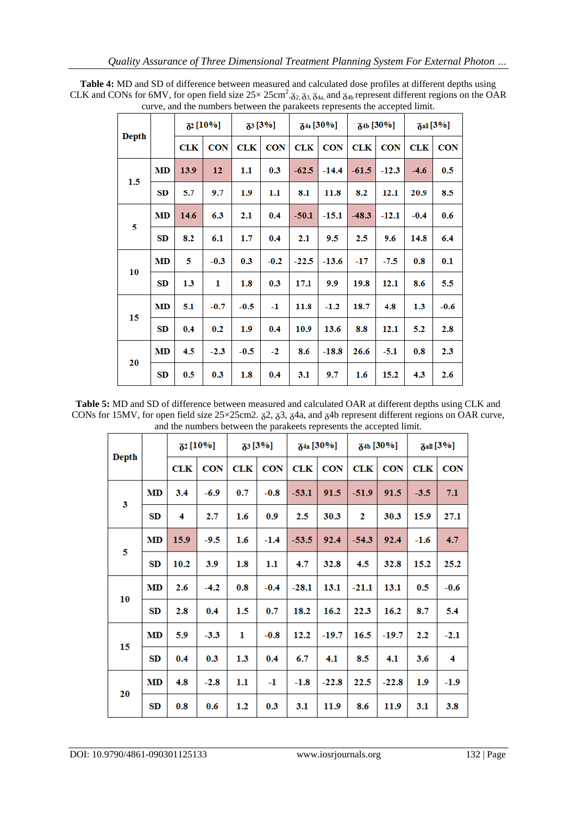|       |           |            | <b>82</b> [10%] | $73[3\%]$  |            | <b>64a</b> [30%] |            | 30%]       |            | $\delta$ all [3%] |            |
|-------|-----------|------------|-----------------|------------|------------|------------------|------------|------------|------------|-------------------|------------|
| Depth |           | <b>CLK</b> | <b>CON</b>      | <b>CLK</b> | <b>CON</b> | CLK              | <b>CON</b> | <b>CLK</b> | <b>CON</b> | <b>CLK</b>        | <b>CON</b> |
|       | MD        | 13.9       | 12              | $1.1\,$    | 0.3        | $-62.5$          | $-14.4$    | $-61.5$    | $-12.3$    | $-4.6$            | 0.5        |
| 1.5   | SD        | 5.7        | 9.7             | 1.9        | 1.1        | 8.1              | 11.8       | 8.2        | 12.1       | 20.9              | 8.5        |
| 5     | <b>MD</b> | 14.6       | 6.3             | 2.1        | 0.4        | $-50.1$          | -15.1      | $-48.3$    | $-12.1$    | $-0.4$            | 0.6        |
|       | SD        | 8.2        | 6.1             | 1.7        | 0.4        | 2.1              | 9.5        | 2.5        | 9.6        | 14.8              | 6.4        |
|       | <b>MD</b> | 5          | $-0.3$          | 0.3        | $-0.2$     | $-22.5$          | $-13.6$    | $-17$      | -7.5       | 0.8               | 0.1        |
| 10    | SD        | 1.3        | 1               | 1.8        | 0.3        | 17.1             | 9.9        | 19.8       | 12.1       | 8.6               | 5.5        |
|       | MD        | 5.1        | $-0.7$          | $-0.5$     | $-1$       | 11.8             | $-1.2$     | 18.7       | 4.8        | 1.3               | $-0.6$     |
| 15    | SD        | 0.4        | 0.2             | 1.9        | 0.4        | 10.9             | 13.6       | 8.8        | 12.1       | 5.2               | 2.8        |
|       | MD        | 4.5        | $-2.3$          | $-0.5$     | $-2$       | 8.6              | $-18.8$    | 26.6       | -5.1       | 0.8               | 2.3        |
| 20    | SD        | 0.5        | 0.3             | 1.8        | 0.4        | 3.1              | 9.7        | 1.6        | 15.2       | 4.3               | 2.6        |

**Table 4:** MD and SD of difference between measured and calculated dose profiles at different depths using CLK and CONs for 6MV, for open field size  $25 \times 25 \text{cm}^2$ .  $\zeta_{2}$ ,  $\zeta_{3}$ ,  $\zeta_{4a}$ , and  $\zeta_{4b}$  represent different regions on the OAR curve, and the numbers between the parakeets represents the accepted limit.

**Table 5:** MD and SD of difference between measured and calculated OAR at different depths using CLK and CONs for 15MV, for open field size  $25\times25$  cm2.  $\frac{2}{9}$ ,  $\frac{2}{9}$ ,  $\frac{2}{9}$ ,  $\frac{2}{9}$ ,  $\frac{2}{9}$ ,  $\frac{2}{9}$ ,  $\frac{2}{9}$  represent different regions on OAR curve, and the numbers between the parakeets represents the accepted limit.

| <b>Depth</b> |           |      | <b>82</b> [10%] | $73[3\%]$ |            | $\delta$ <sup>4a</sup> [30%] |            | $\delta^{4b}$ [30%] |            | $\delta$ all [3%] |            |
|--------------|-----------|------|-----------------|-----------|------------|------------------------------|------------|---------------------|------------|-------------------|------------|
|              |           | CLK  | <b>CON</b>      | CLK       | <b>CON</b> | CLK                          | <b>CON</b> | CLK                 | <b>CON</b> | <b>CLK</b>        | <b>CON</b> |
| 3            | MD        | 3.4  | $-6.9$          | 0.7       | $-0.8$     | $-53.1$                      | 91.5       | $-51.9$             | 91.5       | $-3.5$            | 7.1        |
|              | SD        | 4    | 2.7             | $1.6\,$   | 0.9        | 2.5                          | 30.3       | 2                   | 30.3       | 15.9              | 27.1       |
|              | <b>MD</b> | 15.9 | $-9.5$          | 1.6       | $-1.4$     | $-53.5$                      | 92.4       | $-54.3$             | 92.4       | $-1.6$            | 4.7        |
| 5            | SD        | 10.2 | 3.9             | $1.8\,$   | $1.1\,$    | 4.7                          | 32.8       | 4.5                 | 32.8       | 15.2              | 25.2       |
| 10           | <b>MD</b> | 2.6  | $-4.2$          | 0.8       | $-0.4$     | $-28.1$                      | 13.1       | $-21.1$             | 13.1       | 0.5               | $-0.6$     |
|              | SD        | 2.8  | 0.4             | 1.5       | 0.7        | 18.2                         | 16.2       | 22.3                | 16.2       | 8.7               | 5.4        |
| 15           | MD        | 5.9  | $-3.3$          | 1         | $-0.8$     | 12.2                         | $-19.7$    | 16.5                | $-19.7$    | 2.2               | $-2.1$     |
|              | SD        | 0.4  | 0.3             | 1.3       | 0.4        | 6.7                          | 4.1        | 8.5                 | 4.1        | 3.6               | 4          |
|              | MD        | 4.8  | $-2.8$          | $1.1\,$   | $-1$       | $-1.8$                       | $-22.8$    | 22.5                | $-22.8$    | 1.9               | $-1.9$     |
| 20           | SD        | 0.8  | 0.6             | 1.2       | 0.3        | 3.1                          | 11.9       | 8.6                 | 11.9       | 3.1               | 3.8        |